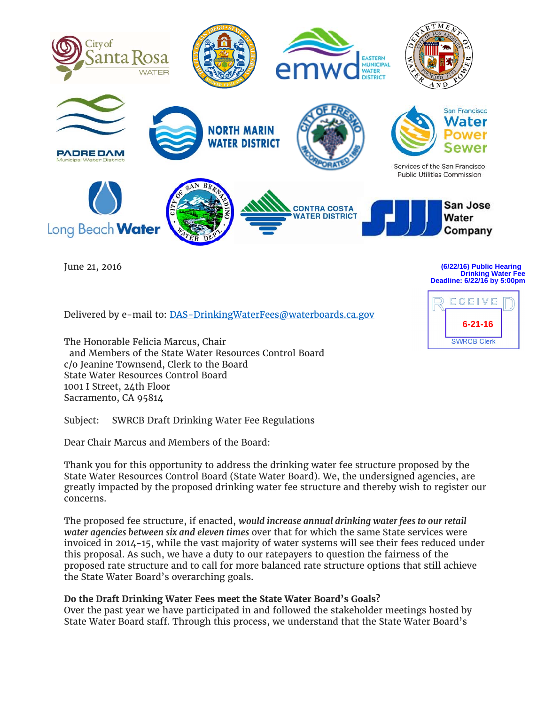

June 21, 2016

**Drinking Water Fee Deadline: 6/22/16 by 5:00pm**

Delivered by e-mail to: DAS-DrinkingWaterFees@waterboards.ca.gov

The Honorable Felicia Marcus, Chair and Members of the State Water Resources Control Board c/o Jeanine Townsend, Clerk to the Board State Water Resources Control Board 1001 I Street, 24th Floor Sacramento, CA 95814

Subject: SWRCB Draft Drinking Water Fee Regulations

Dear Chair Marcus and Members of the Board:

Thank you for this opportunity to address the drinking water fee structure proposed by the State Water Resources Control Board (State Water Board). We, the undersigned agencies, are greatly impacted by the proposed drinking water fee structure and thereby wish to register our concerns.

The proposed fee structure, if enacted, *would increase annual drinking water fees to our retail water agencies between six and eleven times* over that for which the same State services were invoiced in 2014-15, while the vast majority of water systems will see their fees reduced under this proposal. As such, we have a duty to our ratepayers to question the fairness of the proposed rate structure and to call for more balanced rate structure options that still achieve the State Water Board's overarching goals.

## **Do the Draft Drinking Water Fees meet the State Water Board's Goals?**

Over the past year we have participated in and followed the stakeholder meetings hosted by State Water Board staff. Through this process, we understand that the State Water Board's

# **(6/22/16) Public Hearing**

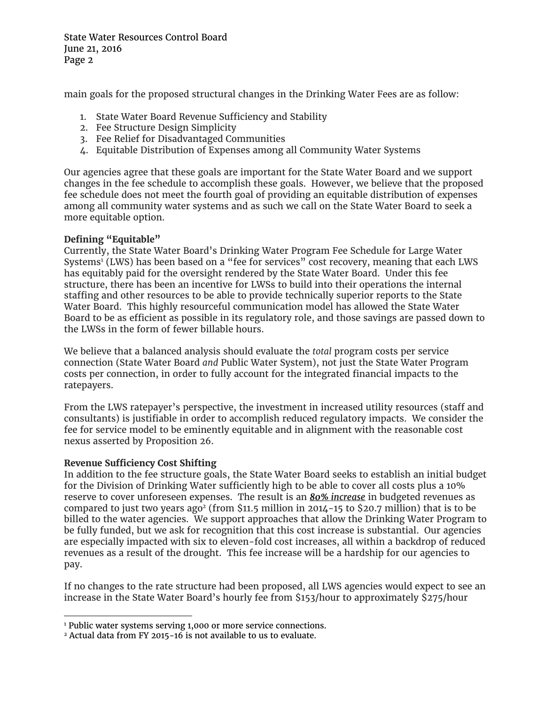State Water Resources Control Board June 21, 2016 Page 2

main goals for the proposed structural changes in the Drinking Water Fees are as follow:

- 1. State Water Board Revenue Sufficiency and Stability
- 2. Fee Structure Design Simplicity
- 3. Fee Relief for Disadvantaged Communities
- 4. Equitable Distribution of Expenses among all Community Water Systems

Our agencies agree that these goals are important for the State Water Board and we support changes in the fee schedule to accomplish these goals. However, we believe that the proposed fee schedule does not meet the fourth goal of providing an equitable distribution of expenses among all community water systems and as such we call on the State Water Board to seek a more equitable option.

## **Defining "Equitable"**

Currently, the State Water Board's Drinking Water Program Fee Schedule for Large Water Systems<sup>1</sup> (LWS) has been based on a "fee for services" cost recovery, meaning that each LWS has equitably paid for the oversight rendered by the State Water Board. Under this fee structure, there has been an incentive for LWSs to build into their operations the internal staffing and other resources to be able to provide technically superior reports to the State Water Board. This highly resourceful communication model has allowed the State Water Board to be as efficient as possible in its regulatory role, and those savings are passed down to the LWSs in the form of fewer billable hours.

We believe that a balanced analysis should evaluate the *total* program costs per service connection (State Water Board *and* Public Water System), not just the State Water Program costs per connection, in order to fully account for the integrated financial impacts to the ratepayers.

From the LWS ratepayer's perspective, the investment in increased utility resources (staff and consultants) is justifiable in order to accomplish reduced regulatory impacts. We consider the fee for service model to be eminently equitable and in alignment with the reasonable cost nexus asserted by Proposition 26.

## **Revenue Sufficiency Cost Shifting**

In addition to the fee structure goals, the State Water Board seeks to establish an initial budget for the Division of Drinking Water sufficiently high to be able to cover all costs plus a 10% reserve to cover unforeseen expenses. The result is an *80% increase* in budgeted revenues as compared to just two years ago<sup>2</sup> (from \$11.5 million in 2014-15 to \$20.7 million) that is to be billed to the water agencies. We support approaches that allow the Drinking Water Program to be fully funded, but we ask for recognition that this cost increase is substantial. Our agencies are especially impacted with six to eleven-fold cost increases, all within a backdrop of reduced revenues as a result of the drought. This fee increase will be a hardship for our agencies to pay.

If no changes to the rate structure had been proposed, all LWS agencies would expect to see an increase in the State Water Board's hourly fee from \$153/hour to approximately \$275/hour

<sup>&</sup>lt;sup>1</sup> Public water systems serving 1,000 or more service connections.

<sup>&</sup>lt;sup>2</sup> Actual data from FY 2015-16 is not available to us to evaluate.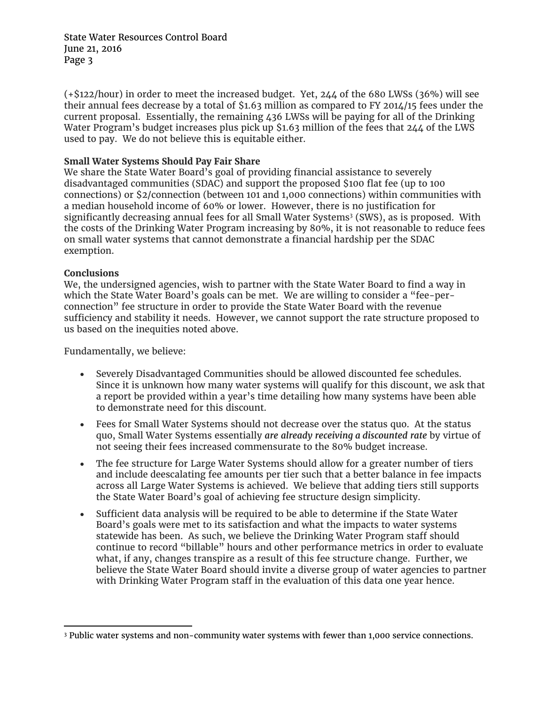State Water Resources Control Board June 21, 2016 Page 3

(+\$122/hour) in order to meet the increased budget. Yet, 244 of the 680 LWSs (36%) will see their annual fees decrease by a total of \$1.63 million as compared to FY 2014/15 fees under the current proposal. Essentially, the remaining 436 LWSs will be paying for all of the Drinking Water Program's budget increases plus pick up \$1.63 million of the fees that 244 of the LWS used to pay. We do not believe this is equitable either.

#### **Small Water Systems Should Pay Fair Share**

We share the State Water Board's goal of providing financial assistance to severely disadvantaged communities (SDAC) and support the proposed \$100 flat fee (up to 100 connections) or \$2/connection (between 101 and 1,000 connections) within communities with a median household income of 60% or lower. However, there is no justification for significantly decreasing annual fees for all Small Water Systems<sup>3</sup> (SWS), as is proposed. With the costs of the Drinking Water Program increasing by 80%, it is not reasonable to reduce fees on small water systems that cannot demonstrate a financial hardship per the SDAC exemption.

#### **Conclusions**

We, the undersigned agencies, wish to partner with the State Water Board to find a way in which the State Water Board's goals can be met. We are willing to consider a "fee-perconnection" fee structure in order to provide the State Water Board with the revenue sufficiency and stability it needs. However, we cannot support the rate structure proposed to us based on the inequities noted above.

Fundamentally, we believe:

- Severely Disadvantaged Communities should be allowed discounted fee schedules. Since it is unknown how many water systems will qualify for this discount, we ask that a report be provided within a year's time detailing how many systems have been able to demonstrate need for this discount.
- Fees for Small Water Systems should not decrease over the status quo. At the status quo, Small Water Systems essentially *are already receiving a discounted rate* by virtue of not seeing their fees increased commensurate to the 80% budget increase.
- The fee structure for Large Water Systems should allow for a greater number of tiers and include deescalating fee amounts per tier such that a better balance in fee impacts across all Large Water Systems is achieved. We believe that adding tiers still supports the State Water Board's goal of achieving fee structure design simplicity.
- Sufficient data analysis will be required to be able to determine if the State Water Board's goals were met to its satisfaction and what the impacts to water systems statewide has been. As such, we believe the Drinking Water Program staff should continue to record "billable" hours and other performance metrics in order to evaluate what, if any, changes transpire as a result of this fee structure change. Further, we believe the State Water Board should invite a diverse group of water agencies to partner with Drinking Water Program staff in the evaluation of this data one year hence.

 3 Public water systems and non-community water systems with fewer than 1,000 service connections.